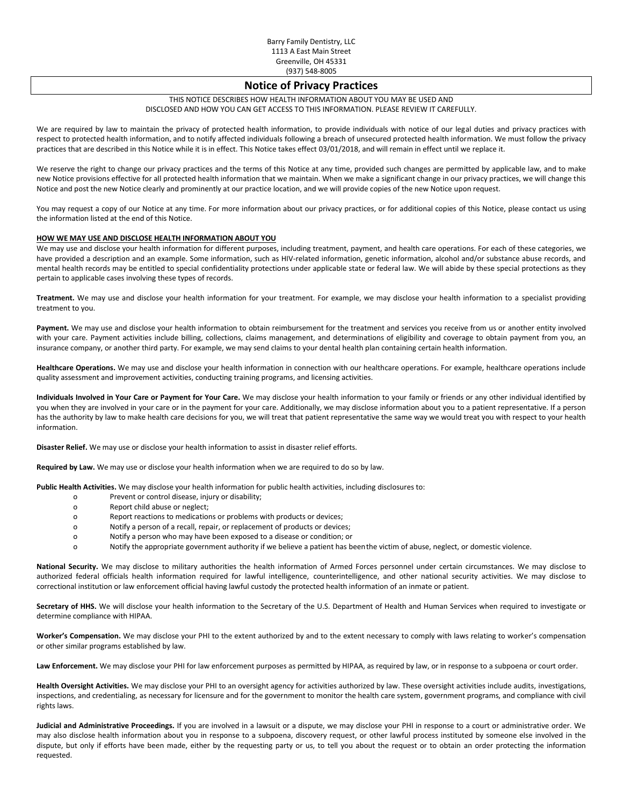# **Notice of Privacy Practices**

### THIS NOTICE DESCRIBES HOW HEALTH INFORMATION ABOUT YOU MAY BE USED AND DISCLOSED AND HOW YOU CAN GET ACCESS TO THIS INFORMATION. PLEASE REVIEW IT CAREFULLY.

We are required by law to maintain the privacy of protected health information, to provide individuals with notice of our legal duties and privacy practices with respect to protected health information, and to notify affected individuals following a breach of unsecured protected health information. We must follow the privacy practices that are described in this Notice while it is in effect. This Notice takes effect 03/01/2018, and will remain in effect until we replace it.

We reserve the right to change our privacy practices and the terms of this Notice at any time, provided such changes are permitted by applicable law, and to make new Notice provisions effective for all protected health information that we maintain. When we make a significant change in our privacy practices, we will change this Notice and post the new Notice clearly and prominently at our practice location, and we will provide copies of the new Notice upon request.

You may request a copy of our Notice at any time. For more information about our privacy practices, or for additional copies of this Notice, please contact us using the information listed at the end of this Notice.

# **HOW WE MAY USE AND DISCLOSE HEALTH INFORMATION ABOUT YOU**

We may use and disclose your health information for different purposes, including treatment, payment, and health care operations. For each of these categories, we have provided a description and an example. Some information, such as HIV-related information, genetic information, alcohol and/or substance abuse records, and mental health records may be entitled to special confidentiality protections under applicable state or federal law. We will abide by these special protections as they pertain to applicable cases involving these types of records.

**Treatment.** We may use and disclose your health information for your treatment. For example, we may disclose your health information to a specialist providing treatment to you.

Payment. We may use and disclose your health information to obtain reimbursement for the treatment and services you receive from us or another entity involved with your care. Payment activities include billing, collections, claims management, and determinations of eligibility and coverage to obtain payment from you, an insurance company, or another third party. For example, we may send claims to your dental health plan containing certain health information.

**Healthcare Operations.** We may use and disclose your health information in connection with our healthcare operations. For example, healthcare operations include quality assessment and improvement activities, conducting training programs, and licensing activities.

**Individuals Involved in Your Care or Payment for Your Care.** We may disclose your health information to your family or friends or any other individual identified by you when they are involved in your care or in the payment for your care. Additionally, we may disclose information about you to a patient representative. If a person has the authority by law to make health care decisions for you, we will treat that patient representative the same way we would treat you with respect to your health information.

**Disaster Relief.** We may use or disclose your health information to assist in disaster relief efforts.

**Required by Law.** We may use or disclose your health information when we are required to do so by law.

**Public Health Activities.** We may disclose your health information for public health activities, including disclosures to:

- o Prevent or control disease, injury or disability;
- o Report child abuse or neglect;
- o Report reactions to medications or problems with products or devices;
- o Notify a person of a recall, repair, or replacement of products or devices;
- o Notify a person who may have been exposed to a disease or condition; or
- o Notify the appropriate government authority if we believe a patient has beenthe victim of abuse, neglect, or domestic violence.

**National Security.** We may disclose to military authorities the health information of Armed Forces personnel under certain circumstances. We may disclose to authorized federal officials health information required for lawful intelligence, counterintelligence, and other national security activities. We may disclose to correctional institution or law enforcement official having lawful custody the protected health information of an inmate or patient.

Secretary of HHS. We will disclose your health information to the Secretary of the U.S. Department of Health and Human Services when required to investigate or determine compliance with HIPAA.

**Worker's Compensation.** We may disclose your PHI to the extent authorized by and to the extent necessary to comply with laws relating to worker's compensation or other similar programs established by law.

Law Enforcement. We may disclose your PHI for law enforcement purposes as permitted by HIPAA, as required by law, or in response to a subpoena or court order.

**Health Oversight Activities.** We may disclose your PHI to an oversight agency for activities authorized by law. These oversight activities include audits, investigations, inspections, and credentialing, as necessary for licensure and for the government to monitor the health care system, government programs, and compliance with civil rights laws.

**Judicial and Administrative Proceedings.** If you are involved in a lawsuit or a dispute, we may disclose your PHI in response to a court or administrative order. We may also disclose health information about you in response to a subpoena, discovery request, or other lawful process instituted by someone else involved in the dispute, but only if efforts have been made, either by the requesting party or us, to tell you about the request or to obtain an order protecting the information requested.